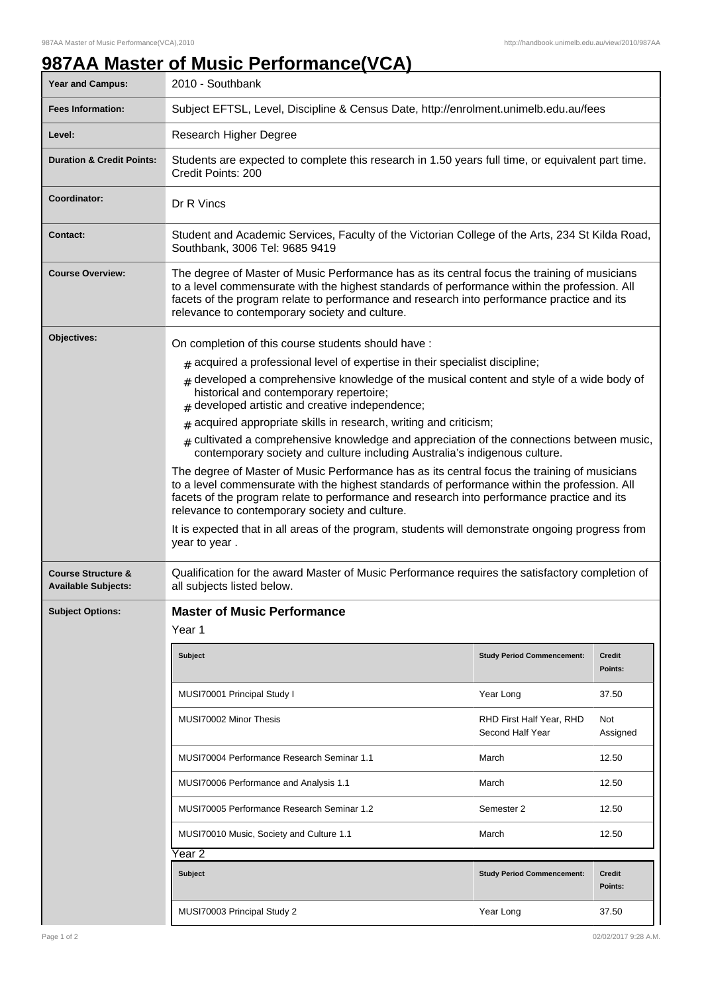## **987AA Master of Music Performance(VCA)**

| <b>Year and Campus:</b>                                     | 2010 - Southbank                                                                                                                                                                                                                                                                                                                                                                                                                                                                                                                                                                                                                                                                                                                                                                                                                                                                                                                                                                                                                                              |                                              |                          |  |  |
|-------------------------------------------------------------|---------------------------------------------------------------------------------------------------------------------------------------------------------------------------------------------------------------------------------------------------------------------------------------------------------------------------------------------------------------------------------------------------------------------------------------------------------------------------------------------------------------------------------------------------------------------------------------------------------------------------------------------------------------------------------------------------------------------------------------------------------------------------------------------------------------------------------------------------------------------------------------------------------------------------------------------------------------------------------------------------------------------------------------------------------------|----------------------------------------------|--------------------------|--|--|
| <b>Fees Information:</b>                                    | Subject EFTSL, Level, Discipline & Census Date, http://enrolment.unimelb.edu.au/fees                                                                                                                                                                                                                                                                                                                                                                                                                                                                                                                                                                                                                                                                                                                                                                                                                                                                                                                                                                          |                                              |                          |  |  |
| Level:                                                      | Research Higher Degree                                                                                                                                                                                                                                                                                                                                                                                                                                                                                                                                                                                                                                                                                                                                                                                                                                                                                                                                                                                                                                        |                                              |                          |  |  |
| <b>Duration &amp; Credit Points:</b>                        | Students are expected to complete this research in 1.50 years full time, or equivalent part time.<br>Credit Points: 200                                                                                                                                                                                                                                                                                                                                                                                                                                                                                                                                                                                                                                                                                                                                                                                                                                                                                                                                       |                                              |                          |  |  |
| <b>Coordinator:</b>                                         | Dr R Vincs                                                                                                                                                                                                                                                                                                                                                                                                                                                                                                                                                                                                                                                                                                                                                                                                                                                                                                                                                                                                                                                    |                                              |                          |  |  |
| <b>Contact:</b>                                             | Student and Academic Services, Faculty of the Victorian College of the Arts, 234 St Kilda Road,<br>Southbank, 3006 Tel: 9685 9419                                                                                                                                                                                                                                                                                                                                                                                                                                                                                                                                                                                                                                                                                                                                                                                                                                                                                                                             |                                              |                          |  |  |
| <b>Course Overview:</b>                                     | The degree of Master of Music Performance has as its central focus the training of musicians<br>to a level commensurate with the highest standards of performance within the profession. All<br>facets of the program relate to performance and research into performance practice and its<br>relevance to contemporary society and culture.                                                                                                                                                                                                                                                                                                                                                                                                                                                                                                                                                                                                                                                                                                                  |                                              |                          |  |  |
| Objectives:                                                 | On completion of this course students should have:<br>$*$ acquired a professional level of expertise in their specialist discipline;<br>developed a comprehensive knowledge of the musical content and style of a wide body of<br>#<br>historical and contemporary repertoire;<br>$#$ developed artistic and creative independence;<br>acquired appropriate skills in research, writing and criticism;<br>#<br>$#$ cultivated a comprehensive knowledge and appreciation of the connections between music,<br>contemporary society and culture including Australia's indigenous culture.<br>The degree of Master of Music Performance has as its central focus the training of musicians<br>to a level commensurate with the highest standards of performance within the profession. All<br>facets of the program relate to performance and research into performance practice and its<br>relevance to contemporary society and culture.<br>It is expected that in all areas of the program, students will demonstrate ongoing progress from<br>year to year. |                                              |                          |  |  |
| <b>Course Structure &amp;</b><br><b>Available Subjects:</b> | Qualification for the award Master of Music Performance requires the satisfactory completion of<br>all subjects listed below.                                                                                                                                                                                                                                                                                                                                                                                                                                                                                                                                                                                                                                                                                                                                                                                                                                                                                                                                 |                                              |                          |  |  |
| <b>Subject Options:</b>                                     | <b>Master of Music Performance</b><br>Year 1                                                                                                                                                                                                                                                                                                                                                                                                                                                                                                                                                                                                                                                                                                                                                                                                                                                                                                                                                                                                                  |                                              |                          |  |  |
|                                                             | <b>Subject</b>                                                                                                                                                                                                                                                                                                                                                                                                                                                                                                                                                                                                                                                                                                                                                                                                                                                                                                                                                                                                                                                | <b>Study Period Commencement:</b>            | <b>Credit</b><br>Points: |  |  |
|                                                             | MUSI70001 Principal Study I                                                                                                                                                                                                                                                                                                                                                                                                                                                                                                                                                                                                                                                                                                                                                                                                                                                                                                                                                                                                                                   | Year Long                                    | 37.50                    |  |  |
|                                                             | MUSI70002 Minor Thesis                                                                                                                                                                                                                                                                                                                                                                                                                                                                                                                                                                                                                                                                                                                                                                                                                                                                                                                                                                                                                                        | RHD First Half Year, RHD<br>Second Half Year | Not<br>Assigned          |  |  |
|                                                             | MUSI70004 Performance Research Seminar 1.1                                                                                                                                                                                                                                                                                                                                                                                                                                                                                                                                                                                                                                                                                                                                                                                                                                                                                                                                                                                                                    | March                                        | 12.50                    |  |  |
|                                                             | MUSI70006 Performance and Analysis 1.1                                                                                                                                                                                                                                                                                                                                                                                                                                                                                                                                                                                                                                                                                                                                                                                                                                                                                                                                                                                                                        | March                                        | 12.50                    |  |  |
|                                                             | MUSI70005 Performance Research Seminar 1.2                                                                                                                                                                                                                                                                                                                                                                                                                                                                                                                                                                                                                                                                                                                                                                                                                                                                                                                                                                                                                    | Semester 2                                   | 12.50                    |  |  |
|                                                             | MUSI70010 Music, Society and Culture 1.1                                                                                                                                                                                                                                                                                                                                                                                                                                                                                                                                                                                                                                                                                                                                                                                                                                                                                                                                                                                                                      | March                                        | 12.50                    |  |  |
|                                                             | Year 2                                                                                                                                                                                                                                                                                                                                                                                                                                                                                                                                                                                                                                                                                                                                                                                                                                                                                                                                                                                                                                                        |                                              |                          |  |  |
|                                                             | <b>Subject</b>                                                                                                                                                                                                                                                                                                                                                                                                                                                                                                                                                                                                                                                                                                                                                                                                                                                                                                                                                                                                                                                | <b>Study Period Commencement:</b>            | <b>Credit</b><br>Points: |  |  |
|                                                             | MUSI70003 Principal Study 2                                                                                                                                                                                                                                                                                                                                                                                                                                                                                                                                                                                                                                                                                                                                                                                                                                                                                                                                                                                                                                   | Year Long                                    | 37.50                    |  |  |